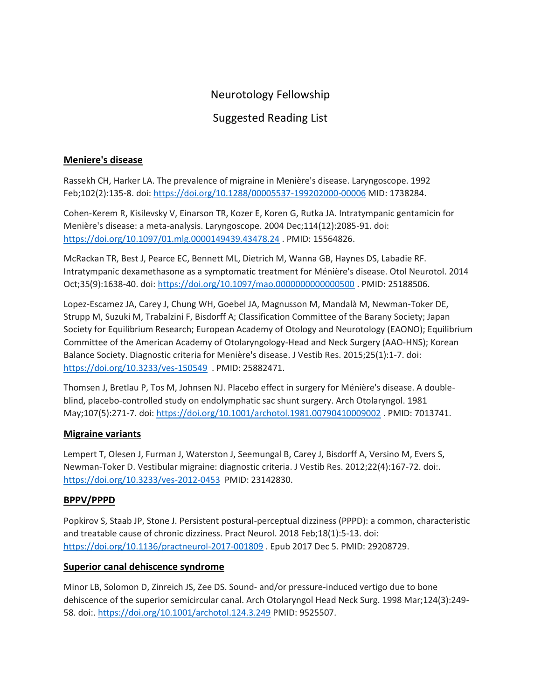# Neurotology Fellowship

## Suggested Reading List

### **Meniere's disease**

Rassekh CH, Harker LA. The prevalence of migraine in Menière's disease. Laryngoscope. 1992 Feb;102(2):135-8. doi: <https://doi.org/10.1288/00005537-199202000-00006> MID: 1738284.

Cohen-Kerem R, Kisilevsky V, Einarson TR, Kozer E, Koren G, Rutka JA. Intratympanic gentamicin for Menière's disease: a meta-analysis. Laryngoscope. 2004 Dec;114(12):2085-91. doi: <https://doi.org/10.1097/01.mlg.0000149439.43478.24> . PMID: 15564826.

McRackan TR, Best J, Pearce EC, Bennett ML, Dietrich M, Wanna GB, Haynes DS, Labadie RF. Intratympanic dexamethasone as a symptomatic treatment for Ménière's disease. Otol Neurotol. 2014 Oct;35(9):1638-40. doi: <https://doi.org/10.1097/mao.0000000000000500> . PMID: 25188506.

Lopez-Escamez JA, Carey J, Chung WH, Goebel JA, Magnusson M, Mandalà M, Newman-Toker DE, Strupp M, Suzuki M, Trabalzini F, Bisdorff A; Classification Committee of the Barany Society; Japan Society for Equilibrium Research; European Academy of Otology and Neurotology (EAONO); Equilibrium Committee of the American Academy of Otolaryngology-Head and Neck Surgery (AAO-HNS); Korean Balance Society. Diagnostic criteria for Menière's disease. J Vestib Res. 2015;25(1):1-7. doi: <https://doi.org/10.3233/ves-150549>. PMID: 25882471.

Thomsen J, Bretlau P, Tos M, Johnsen NJ. Placebo effect in surgery for Ménière's disease. A doubleblind, placebo-controlled study on endolymphatic sac shunt surgery. Arch Otolaryngol. 1981 May;107(5):271-7. doi: <https://doi.org/10.1001/archotol.1981.00790410009002> . PMID: 7013741.

#### **Migraine variants**

Lempert T, Olesen J, Furman J, Waterston J, Seemungal B, Carey J, Bisdorff A, Versino M, Evers S, Newman-Toker D. Vestibular migraine: diagnostic criteria. J Vestib Res. 2012;22(4):167-72. doi:. <https://doi.org/10.3233/ves-2012-0453> PMID: 23142830.

#### **BPPV/PPPD**

Popkirov S, Staab JP, Stone J. Persistent postural-perceptual dizziness (PPPD): a common, characteristic and treatable cause of chronic dizziness. Pract Neurol. 2018 Feb;18(1):5-13. doi: <https://doi.org/10.1136/practneurol-2017-001809> . Epub 2017 Dec 5. PMID: 29208729.

## **Superior canal dehiscence syndrome**

Minor LB, Solomon D, Zinreich JS, Zee DS. Sound- and/or pressure-induced vertigo due to bone dehiscence of the superior semicircular canal. Arch Otolaryngol Head Neck Surg. 1998 Mar;124(3):249- 58. doi:[. https://doi.org/10.1001/archotol.124.3.249](https://doi.org/10.1001/archotol.124.3.249) PMID: 9525507.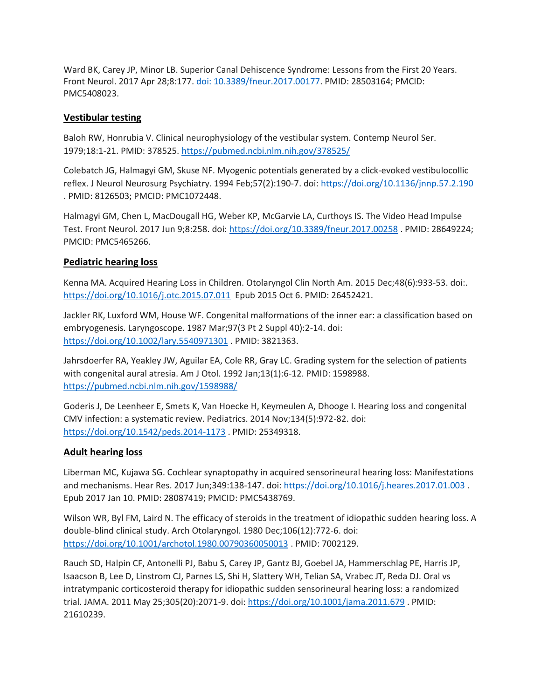Ward BK, Carey JP, Minor LB. Superior Canal Dehiscence Syndrome: Lessons from the First 20 Years. Front Neurol. 2017 Apr 28;8:177. [doi: 10.3389/fneur.2017.00177.](https://www.frontiersin.org/articles/10.3389/fneur.2017.00177/full) PMID: 28503164; PMCID: PMC5408023.

#### **Vestibular testing**

Baloh RW, Honrubia V. Clinical neurophysiology of the vestibular system. Contemp Neurol Ser. 1979;18:1-21. PMID: 378525. <https://pubmed.ncbi.nlm.nih.gov/378525/>

Colebatch JG, Halmagyi GM, Skuse NF. Myogenic potentials generated by a click-evoked vestibulocollic reflex. J Neurol Neurosurg Psychiatry. 1994 Feb;57(2):190-7. doi: <https://doi.org/10.1136/jnnp.57.2.190> . PMID: 8126503; PMCID: PMC1072448.

Halmagyi GM, Chen L, MacDougall HG, Weber KP, McGarvie LA, Curthoys IS. The Video Head Impulse Test. Front Neurol. 2017 Jun 9;8:258. doi: <https://doi.org/10.3389/fneur.2017.00258> . PMID: 28649224; PMCID: PMC5465266.

### **Pediatric hearing loss**

Kenna MA. Acquired Hearing Loss in Children. Otolaryngol Clin North Am. 2015 Dec;48(6):933-53. doi:. <https://doi.org/10.1016/j.otc.2015.07.011>Epub 2015 Oct 6. PMID: 26452421.

Jackler RK, Luxford WM, House WF. Congenital malformations of the inner ear: a classification based on embryogenesis. Laryngoscope. 1987 Mar;97(3 Pt 2 Suppl 40):2-14. doi: <https://doi.org/10.1002/lary.5540971301> . PMID: 3821363.

Jahrsdoerfer RA, Yeakley JW, Aguilar EA, Cole RR, Gray LC. Grading system for the selection of patients with congenital aural atresia. Am J Otol. 1992 Jan;13(1):6-12. PMID: 1598988. <https://pubmed.ncbi.nlm.nih.gov/1598988/>

Goderis J, De Leenheer E, Smets K, Van Hoecke H, Keymeulen A, Dhooge I. Hearing loss and congenital CMV infection: a systematic review. Pediatrics. 2014 Nov;134(5):972-82. doi: <https://doi.org/10.1542/peds.2014-1173> . PMID: 25349318.

#### **Adult hearing loss**

Liberman MC, Kujawa SG. Cochlear synaptopathy in acquired sensorineural hearing loss: Manifestations and mechanisms. Hear Res. 2017 Jun;349:138-147. doi: <https://doi.org/10.1016/j.heares.2017.01.003> . Epub 2017 Jan 10. PMID: 28087419; PMCID: PMC5438769.

Wilson WR, Byl FM, Laird N. The efficacy of steroids in the treatment of idiopathic sudden hearing loss. A double-blind clinical study. Arch Otolaryngol. 1980 Dec;106(12):772-6. doi: <https://doi.org/10.1001/archotol.1980.00790360050013> . PMID: 7002129.

Rauch SD, Halpin CF, Antonelli PJ, Babu S, Carey JP, Gantz BJ, Goebel JA, Hammerschlag PE, Harris JP, Isaacson B, Lee D, Linstrom CJ, Parnes LS, Shi H, Slattery WH, Telian SA, Vrabec JT, Reda DJ. Oral vs intratympanic corticosteroid therapy for idiopathic sudden sensorineural hearing loss: a randomized trial. JAMA. 2011 May 25;305(20):2071-9. doi: <https://doi.org/10.1001/jama.2011.679> . PMID: 21610239.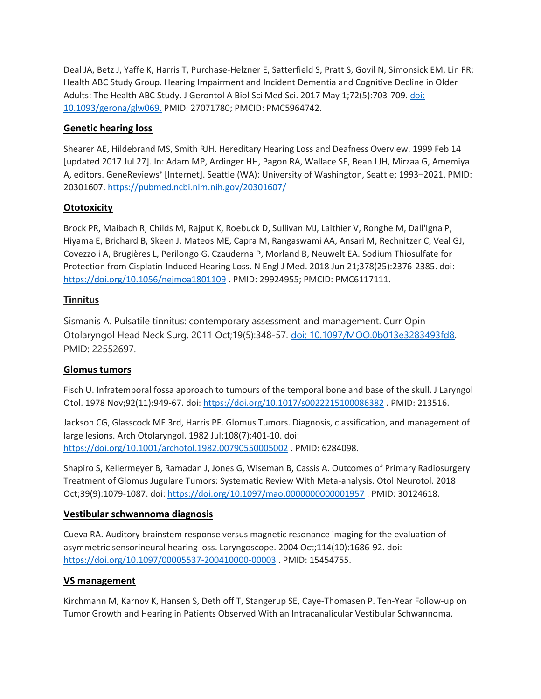Deal JA, Betz J, Yaffe K, Harris T, Purchase-Helzner E, Satterfield S, Pratt S, Govil N, Simonsick EM, Lin FR; Health ABC Study Group. Hearing Impairment and Incident Dementia and Cognitive Decline in Older Adults: The Health ABC Study. J Gerontol A Biol Sci Med Sci. 2017 May 1;72(5):703-709. [doi:](https://academic.oup.com/biomedgerontology/article/72/5/703/2629988)  [10.1093/gerona/glw069.](https://academic.oup.com/biomedgerontology/article/72/5/703/2629988) PMID: 27071780; PMCID: PMC5964742.

### **Genetic hearing loss**

Shearer AE, Hildebrand MS, Smith RJH. Hereditary Hearing Loss and Deafness Overview. 1999 Feb 14 [updated 2017 Jul 27]. In: Adam MP, Ardinger HH, Pagon RA, Wallace SE, Bean LJH, Mirzaa G, Amemiya A, editors. GeneReviews® [Internet]. Seattle (WA): University of Washington, Seattle; 1993–2021. PMID: 20301607.<https://pubmed.ncbi.nlm.nih.gov/20301607/>

## **Ototoxicity**

Brock PR, Maibach R, Childs M, Rajput K, Roebuck D, Sullivan MJ, Laithier V, Ronghe M, Dall'Igna P, Hiyama E, Brichard B, Skeen J, Mateos ME, Capra M, Rangaswami AA, Ansari M, Rechnitzer C, Veal GJ, Covezzoli A, Brugières L, Perilongo G, Czauderna P, Morland B, Neuwelt EA. Sodium Thiosulfate for Protection from Cisplatin-Induced Hearing Loss. N Engl J Med. 2018 Jun 21;378(25):2376-2385. doi: <https://doi.org/10.1056/nejmoa1801109> . PMID: 29924955; PMCID: PMC6117111.

#### **Tinnitus**

Sismanis A. Pulsatile tinnitus: contemporary assessment and management. Curr Opin Otolaryngol Head Neck Surg. 2011 Oct;19(5):348-57. [doi: 10.1097/MOO.0b013e3283493fd8.](https://journals.lww.com/co-otolaryngology/Abstract/2011/10000/Pulsatile_tinnitus___contemporary_assessment_and.6.aspx) PMID: 22552697.

#### **Glomus tumors**

Fisch U. Infratemporal fossa approach to tumours of the temporal bone and base of the skull. J Laryngol Otol. 1978 Nov;92(11):949-67. doi:<https://doi.org/10.1017/s0022215100086382> . PMID: 213516.

Jackson CG, Glasscock ME 3rd, Harris PF. Glomus Tumors. Diagnosis, classification, and management of large lesions. Arch Otolaryngol. 1982 Jul;108(7):401-10. doi: <https://doi.org/10.1001/archotol.1982.00790550005002> . PMID: 6284098.

Shapiro S, Kellermeyer B, Ramadan J, Jones G, Wiseman B, Cassis A. Outcomes of Primary Radiosurgery Treatment of Glomus Jugulare Tumors: Systematic Review With Meta-analysis. Otol Neurotol. 2018 Oct;39(9):1079-1087. doi[: https://doi.org/10.1097/mao.0000000000001957](https://doi.org/10.1097/mao.0000000000001957) . PMID: 30124618.

#### **Vestibular schwannoma diagnosis**

Cueva RA. Auditory brainstem response versus magnetic resonance imaging for the evaluation of asymmetric sensorineural hearing loss. Laryngoscope. 2004 Oct;114(10):1686-92. doi: <https://doi.org/10.1097/00005537-200410000-00003> . PMID: 15454755.

#### **VS management**

Kirchmann M, Karnov K, Hansen S, Dethloff T, Stangerup SE, Caye-Thomasen P. Ten-Year Follow-up on Tumor Growth and Hearing in Patients Observed With an Intracanalicular Vestibular Schwannoma.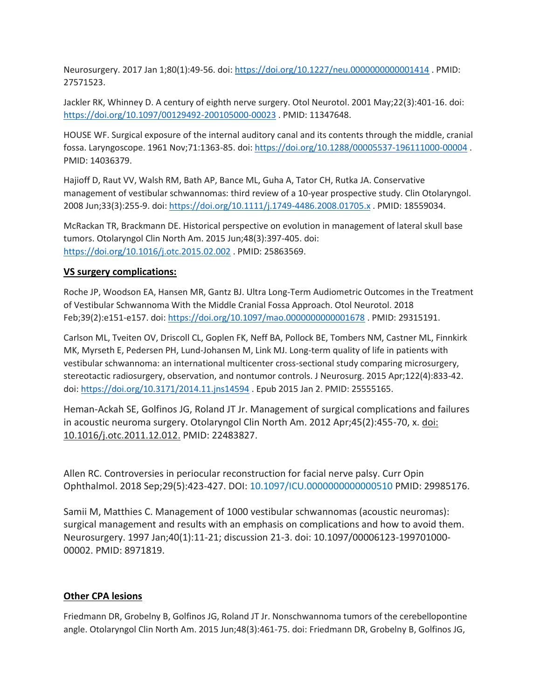Neurosurgery. 2017 Jan 1;80(1):49-56. doi:<https://doi.org/10.1227/neu.0000000000001414> . PMID: 27571523.

Jackler RK, Whinney D. A century of eighth nerve surgery. Otol Neurotol. 2001 May;22(3):401-16. doi: <https://doi.org/10.1097/00129492-200105000-00023> . PMID: 11347648.

HOUSE WF. Surgical exposure of the internal auditory canal and its contents through the middle, cranial fossa. Laryngoscope. 1961 Nov;71:1363-85. doi[: https://doi.org/10.1288/00005537-196111000-00004](https://doi.org/10.1288/00005537-196111000-00004) . PMID: 14036379.

Hajioff D, Raut VV, Walsh RM, Bath AP, Bance ML, Guha A, Tator CH, Rutka JA. Conservative management of vestibular schwannomas: third review of a 10-year prospective study. Clin Otolaryngol. 2008 Jun;33(3):255-9. doi[: https://doi.org/10.1111/j.1749-4486.2008.01705.x](https://doi.org/10.1111/j.1749-4486.2008.01705.x) . PMID: 18559034.

McRackan TR, Brackmann DE. Historical perspective on evolution in management of lateral skull base tumors. Otolaryngol Clin North Am. 2015 Jun;48(3):397-405. doi: <https://doi.org/10.1016/j.otc.2015.02.002> . PMID: 25863569.

### **VS surgery complications:**

Roche JP, Woodson EA, Hansen MR, Gantz BJ. Ultra Long-Term Audiometric Outcomes in the Treatment of Vestibular Schwannoma With the Middle Cranial Fossa Approach. Otol Neurotol. 2018 Feb;39(2):e151-e157. doi:<https://doi.org/10.1097/mao.0000000000001678> . PMID: 29315191.

Carlson ML, Tveiten OV, Driscoll CL, Goplen FK, Neff BA, Pollock BE, Tombers NM, Castner ML, Finnkirk MK, Myrseth E, Pedersen PH, Lund-Johansen M, Link MJ. Long-term quality of life in patients with vestibular schwannoma: an international multicenter cross-sectional study comparing microsurgery, stereotactic radiosurgery, observation, and nontumor controls. J Neurosurg. 2015 Apr;122(4):833-42. doi[: https://doi.org/10.3171/2014.11.jns14594](https://doi.org/10.3171/2014.11.jns14594) . Epub 2015 Jan 2. PMID: 25555165.

Heman-Ackah SE, Golfinos JG, Roland JT Jr. Management of surgical complications and failures in acoustic neuroma surgery. Otolaryngol Clin North Am. 2012 Apr;45(2):455-70, x. doi: 10.1016/j.otc.2011.12.012. PMID: 22483827.

Allen RC. Controversies in periocular reconstruction for facial nerve palsy. Curr Opin Ophthalmol. 2018 Sep;29(5):423-427. DOI: [10.1097/ICU.0000000000000510](https://doi.org/10.1097/icu.0000000000000510) PMID: 29985176.

Samii M, Matthies C. Management of 1000 vestibular schwannomas (acoustic neuromas): surgical management and results with an emphasis on complications and how to avoid them. Neurosurgery. 1997 Jan;40(1):11-21; discussion 21-3. doi: 10.1097/00006123-199701000- 00002. PMID: 8971819.

## **Other CPA lesions**

Friedmann DR, Grobelny B, Golfinos JG, Roland JT Jr. Nonschwannoma tumors of the cerebellopontine angle. Otolaryngol Clin North Am. 2015 Jun;48(3):461-75. doi: Friedmann DR, Grobelny B, Golfinos JG,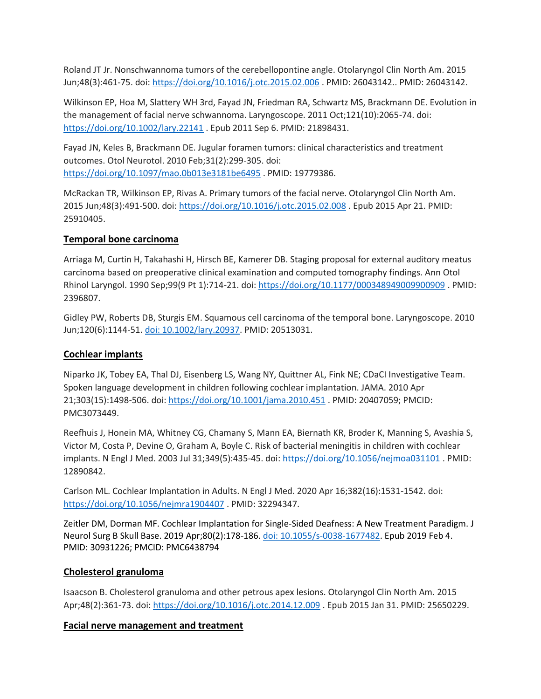Roland JT Jr. Nonschwannoma tumors of the cerebellopontine angle. Otolaryngol Clin North Am. 2015 Jun;48(3):461-75. doi[: https://doi.org/10.1016/j.otc.2015.02.006](https://doi.org/10.1016/j.otc.2015.02.006) . PMID: 26043142.. PMID: 26043142.

Wilkinson EP, Hoa M, Slattery WH 3rd, Fayad JN, Friedman RA, Schwartz MS, Brackmann DE. Evolution in the management of facial nerve schwannoma. Laryngoscope. 2011 Oct;121(10):2065-74. doi: <https://doi.org/10.1002/lary.22141> . Epub 2011 Sep 6. PMID: 21898431.

Fayad JN, Keles B, Brackmann DE. Jugular foramen tumors: clinical characteristics and treatment outcomes. Otol Neurotol. 2010 Feb;31(2):299-305. doi: <https://doi.org/10.1097/mao.0b013e3181be6495> . PMID: 19779386.

McRackan TR, Wilkinson EP, Rivas A. Primary tumors of the facial nerve. Otolaryngol Clin North Am. 2015 Jun;48(3):491-500. doi[: https://doi.org/10.1016/j.otc.2015.02.008](https://doi.org/10.1016/j.otc.2015.02.008) . Epub 2015 Apr 21. PMID: 25910405.

#### **Temporal bone carcinoma**

Arriaga M, Curtin H, Takahashi H, Hirsch BE, Kamerer DB. Staging proposal for external auditory meatus carcinoma based on preoperative clinical examination and computed tomography findings. Ann Otol Rhinol Laryngol. 1990 Sep;99(9 Pt 1):714-21. doi[: https://doi.org/10.1177/000348949009900909](https://doi.org/10.1177/000348949009900909) . PMID: 2396807.

Gidley PW, Roberts DB, Sturgis EM. Squamous cell carcinoma of the temporal bone. Laryngoscope. 2010 Jun;120(6):1144-51. [doi: 10.1002/lary.20937.](https://onlinelibrary.wiley.com/doi/abs/10.1002/lary.20937) PMID: 20513031.

#### **Cochlear implants**

Niparko JK, Tobey EA, Thal DJ, Eisenberg LS, Wang NY, Quittner AL, Fink NE; CDaCI Investigative Team. Spoken language development in children following cochlear implantation. JAMA. 2010 Apr 21;303(15):1498-506. doi:<https://doi.org/10.1001/jama.2010.451> . PMID: 20407059; PMCID: PMC3073449.

Reefhuis J, Honein MA, Whitney CG, Chamany S, Mann EA, Biernath KR, Broder K, Manning S, Avashia S, Victor M, Costa P, Devine O, Graham A, Boyle C. Risk of bacterial meningitis in children with cochlear implants. N Engl J Med. 2003 Jul 31;349(5):435-45. doi:<https://doi.org/10.1056/nejmoa031101> . PMID: 12890842.

Carlson ML. Cochlear Implantation in Adults. N Engl J Med. 2020 Apr 16;382(16):1531-1542. doi: <https://doi.org/10.1056/nejmra1904407> . PMID: 32294347.

Zeitler DM, Dorman MF. Cochlear Implantation for Single-Sided Deafness: A New Treatment Paradigm. J Neurol Surg B Skull Base. 2019 Apr;80(2):178-186. doi: [10.1055/s-0038-1677482.](https://journals.lww.com/otology-neurotology/Fulltext/2017/09000/The_Sound_Quality_of_Cochlear_Implants__Studies.37.aspx) Epub 2019 Feb 4. PMID: 30931226; PMCID: PMC6438794

#### **Cholesterol granuloma**

Isaacson B. Cholesterol granuloma and other petrous apex lesions. Otolaryngol Clin North Am. 2015 Apr;48(2):361-73. doi:<https://doi.org/10.1016/j.otc.2014.12.009> . Epub 2015 Jan 31. PMID: 25650229.

#### **Facial nerve management and treatment**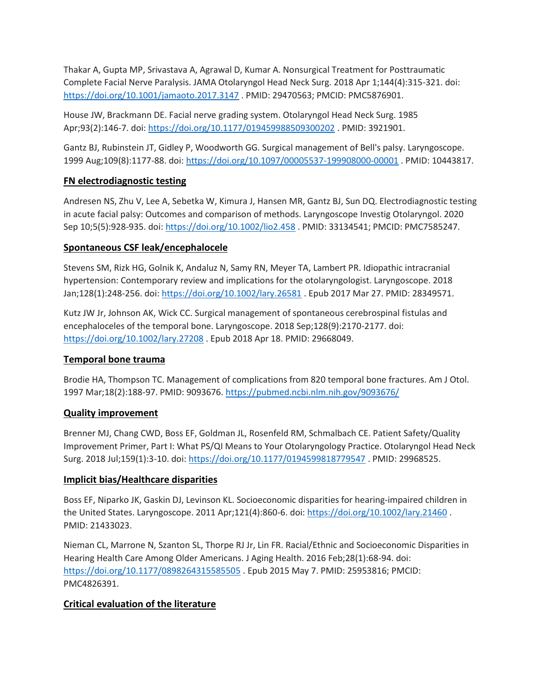Thakar A, Gupta MP, Srivastava A, Agrawal D, Kumar A. Nonsurgical Treatment for Posttraumatic Complete Facial Nerve Paralysis. JAMA Otolaryngol Head Neck Surg. 2018 Apr 1;144(4):315-321. doi: <https://doi.org/10.1001/jamaoto.2017.3147> . PMID: 29470563; PMCID: PMC5876901.

House JW, Brackmann DE. Facial nerve grading system. Otolaryngol Head Neck Surg. 1985 Apr;93(2):146-7. doi[: https://doi.org/10.1177/019459988509300202](https://doi.org/10.1177/019459988509300202) . PMID: 3921901.

Gantz BJ, Rubinstein JT, Gidley P, Woodworth GG. Surgical management of Bell's palsy. Laryngoscope. 1999 Aug;109(8):1177-88. doi[: https://doi.org/10.1097/00005537-199908000-00001](https://doi.org/10.1097/00005537-199908000-00001) . PMID: 10443817.

#### **FN electrodiagnostic testing**

Andresen NS, Zhu V, Lee A, Sebetka W, Kimura J, Hansen MR, Gantz BJ, Sun DQ. Electrodiagnostic testing in acute facial palsy: Outcomes and comparison of methods. Laryngoscope Investig Otolaryngol. 2020 Sep 10;5(5):928-935. doi:<https://doi.org/10.1002/lio2.458> . PMID: 33134541; PMCID: PMC7585247.

#### **Spontaneous CSF leak/encephalocele**

Stevens SM, Rizk HG, Golnik K, Andaluz N, Samy RN, Meyer TA, Lambert PR. Idiopathic intracranial hypertension: Contemporary review and implications for the otolaryngologist. Laryngoscope. 2018 Jan;128(1):248-256. doi:<https://doi.org/10.1002/lary.26581> . Epub 2017 Mar 27. PMID: 28349571.

Kutz JW Jr, Johnson AK, Wick CC. Surgical management of spontaneous cerebrospinal fistulas and encephaloceles of the temporal bone. Laryngoscope. 2018 Sep;128(9):2170-2177. doi: <https://doi.org/10.1002/lary.27208> . Epub 2018 Apr 18. PMID: 29668049.

#### **Temporal bone trauma**

Brodie HA, Thompson TC. Management of complications from 820 temporal bone fractures. Am J Otol. 1997 Mar;18(2):188-97. PMID: 9093676.<https://pubmed.ncbi.nlm.nih.gov/9093676/>

#### **Quality improvement**

Brenner MJ, Chang CWD, Boss EF, Goldman JL, Rosenfeld RM, Schmalbach CE. Patient Safety/Quality Improvement Primer, Part I: What PS/QI Means to Your Otolaryngology Practice. Otolaryngol Head Neck Surg. 2018 Jul;159(1):3-10. doi[: https://doi.org/10.1177/0194599818779547](https://doi.org/10.1177/0194599818779547) . PMID: 29968525.

#### **Implicit bias/Healthcare disparities**

Boss EF, Niparko JK, Gaskin DJ, Levinson KL. Socioeconomic disparities for hearing-impaired children in the United States. Laryngoscope. 2011 Apr;121(4):860-6. doi:<https://doi.org/10.1002/lary.21460> . PMID: 21433023.

Nieman CL, Marrone N, Szanton SL, Thorpe RJ Jr, Lin FR. Racial/Ethnic and Socioeconomic Disparities in Hearing Health Care Among Older Americans. J Aging Health. 2016 Feb;28(1):68-94. doi: <https://doi.org/10.1177/0898264315585505> . Epub 2015 May 7. PMID: 25953816; PMCID: PMC4826391.

## **Critical evaluation of the literature**